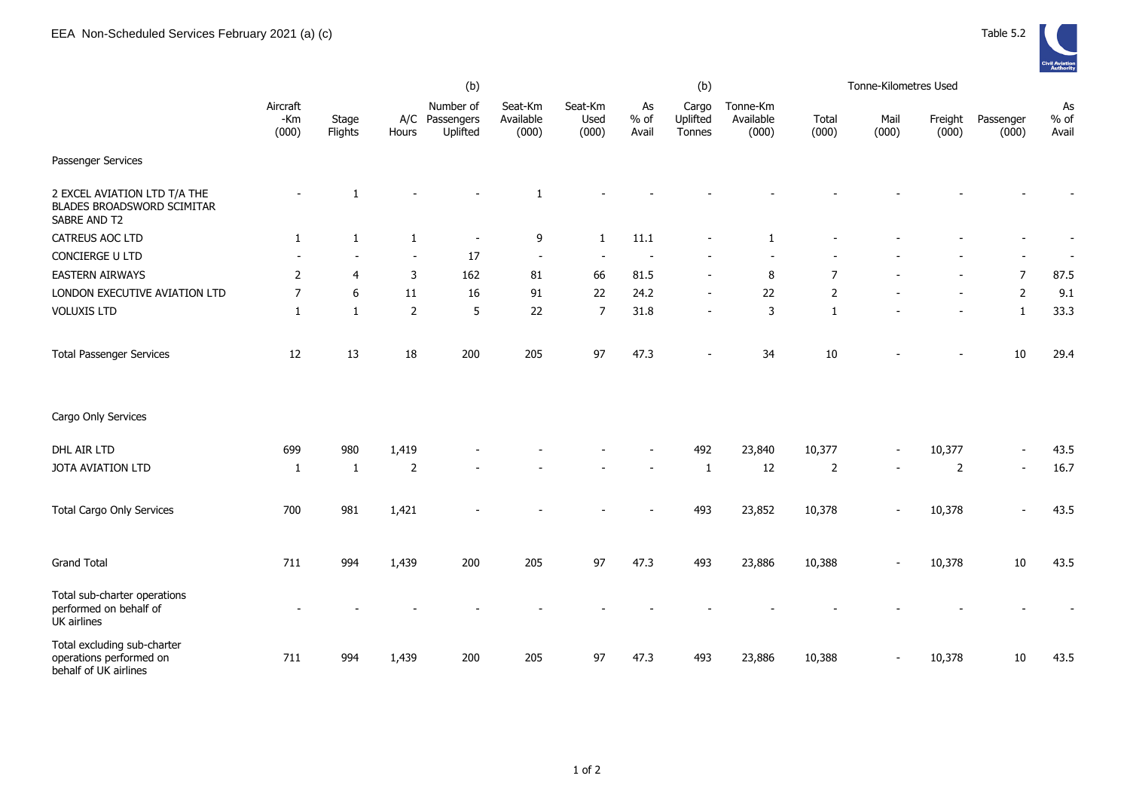

|                                                                                 | (b)                        |                  |                |                                         |                               |                          |                       | (b)                         |                                | Tonne-Kilometres Used |               |                          |                          |                       |
|---------------------------------------------------------------------------------|----------------------------|------------------|----------------|-----------------------------------------|-------------------------------|--------------------------|-----------------------|-----------------------------|--------------------------------|-----------------------|---------------|--------------------------|--------------------------|-----------------------|
|                                                                                 | Aircraft<br>$-Km$<br>(000) | Stage<br>Flights | Hours          | Number of<br>A/C Passengers<br>Uplifted | Seat-Km<br>Available<br>(000) | Seat-Km<br>Used<br>(000) | As<br>$%$ of<br>Avail | Cargo<br>Uplifted<br>Tonnes | Tonne-Km<br>Available<br>(000) | Total<br>(000)        | Mail<br>(000) | Freight<br>(000)         | Passenger<br>(000)       | As<br>$%$ of<br>Avail |
| Passenger Services                                                              |                            |                  |                |                                         |                               |                          |                       |                             |                                |                       |               |                          |                          |                       |
| 2 EXCEL AVIATION LTD T/A THE<br>BLADES BROADSWORD SCIMITAR<br>SABRE AND T2      |                            | 1                |                |                                         | $\mathbf{1}$                  |                          |                       |                             |                                |                       |               |                          |                          |                       |
| CATREUS AOC LTD                                                                 | $\mathbf{1}$               | $\mathbf{1}$     | 1              | $\overline{\phantom{a}}$                | 9                             | 1                        | 11.1                  |                             | -1                             |                       |               |                          |                          |                       |
| CONCIERGE U LTD                                                                 |                            |                  | $\blacksquare$ | 17                                      | $\overline{\phantom{a}}$      |                          |                       |                             |                                |                       |               |                          |                          |                       |
| <b>EASTERN AIRWAYS</b>                                                          | $\overline{2}$             | $\overline{4}$   | 3              | 162                                     | 81                            | 66                       | 81.5                  |                             | 8                              | $\overline{7}$        |               |                          | $\overline{7}$           | 87.5                  |
| LONDON EXECUTIVE AVIATION LTD                                                   | $\overline{7}$             | $6\,$            | $11\,$         | 16                                      | 91                            | 22                       | 24.2                  |                             | 22                             | $\mathbf 2$           |               |                          | $\overline{2}$           | 9.1                   |
| <b>VOLUXIS LTD</b>                                                              | $\mathbf{1}$               | $\mathbf{1}$     | 2              | 5                                       | 22                            | $\overline{7}$           | 31.8                  | $\overline{\phantom{a}}$    | $\mathbf{3}$                   | $\mathbf{1}$          |               | $\overline{a}$           | $\mathbf{1}$             | 33.3                  |
| <b>Total Passenger Services</b>                                                 | 12                         | 13               | $18\,$         | 200                                     | 205                           | 97                       | 47.3                  | $\blacksquare$              | 34                             | 10                    |               | $\overline{\phantom{0}}$ | 10                       | 29.4                  |
| Cargo Only Services                                                             |                            |                  |                |                                         |                               |                          |                       |                             |                                |                       |               |                          |                          |                       |
| DHL AIR LTD                                                                     | 699                        | 980              | 1,419          |                                         |                               |                          |                       | 492                         | 23,840                         | 10,377                |               | 10,377                   |                          | 43.5                  |
| JOTA AVIATION LTD                                                               | 1                          | 1                | 2              |                                         |                               |                          |                       | 1                           | 12                             | 2                     |               | 2                        | $\overline{\phantom{a}}$ | 16.7                  |
| <b>Total Cargo Only Services</b>                                                | 700                        | 981              | 1,421          |                                         |                               |                          |                       | 493                         | 23,852                         | 10,378                |               | 10,378                   |                          | 43.5                  |
| <b>Grand Total</b>                                                              | 711                        | 994              | 1,439          | 200                                     | 205                           | 97                       | 47.3                  | 493                         | 23,886                         | 10,388                |               | 10,378                   | 10                       | 43.5                  |
| Total sub-charter operations<br>performed on behalf of<br>UK airlines           |                            |                  |                |                                         |                               |                          |                       |                             |                                |                       |               |                          |                          |                       |
| Total excluding sub-charter<br>operations performed on<br>behalf of UK airlines | 711                        | 994              | 1,439          | 200                                     | 205                           | 97                       | 47.3                  | 493                         | 23,886                         | 10,388                |               | 10,378                   | 10                       | 43.5                  |